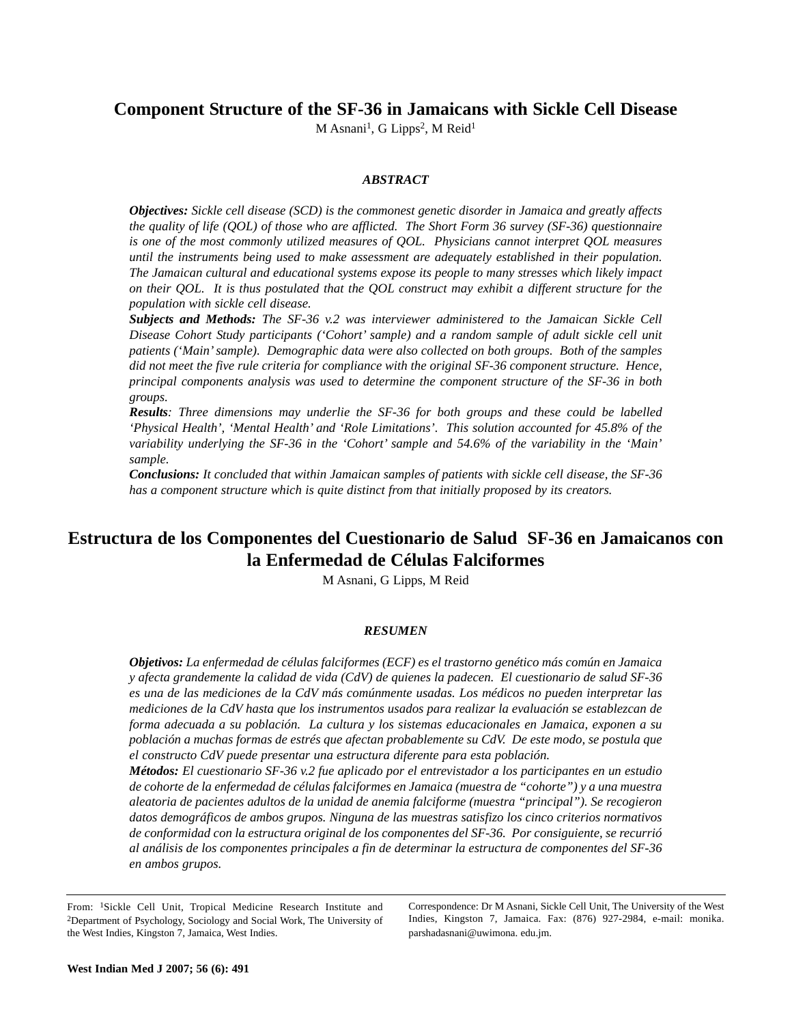## **Component Structure of the SF-36 in Jamaicans with Sickle Cell Disease**

M Asnani<sup>1</sup>, G Lipps<sup>2</sup>, M Reid<sup>1</sup>

#### *ABSTRACT*

*Objectives: Sickle cell disease (SCD) is the commonest genetic disorder in Jamaica and greatly affects the quality of life (QOL) of those who are afflicted. The Short Form 36 survey (SF-36) questionnaire is one of the most commonly utilized measures of QOL. Physicians cannot interpret QOL measures until the instruments being used to make assessment are adequately established in their population. The Jamaican cultural and educational systems expose its people to many stresses which likely impact on their QOL. It is thus postulated that the QOL construct may exhibit a different structure for the population with sickle cell disease.* 

*Subjects and Methods: The SF-36 v.2 was interviewer administered to the Jamaican Sickle Cell Disease Cohort Study participants ('Cohort' sample) and a random sample of adult sickle cell unit patients ('Main' sample). Demographic data were also collected on both groups. Both of the samples did not meet the five rule criteria for compliance with the original SF-36 component structure. Hence, principal components analysis was used to determine the component structure of the SF-36 in both groups.* 

*Results: Three dimensions may underlie the SF-36 for both groups and these could be labelled 'Physical Health', 'Mental Health' and 'Role Limitations'. This solution accounted for 45.8% of the variability underlying the SF-36 in the 'Cohort' sample and 54.6% of the variability in the 'Main' sample.*

*Conclusions: It concluded that within Jamaican samples of patients with sickle cell disease, the SF-36 has a component structure which is quite distinct from that initially proposed by its creators.*

# **Estructura de los Componentes del Cuestionario de Salud SF-36 en Jamaicanos con la Enfermedad de Células Falciformes**

M Asnani, G Lipps, M Reid

#### *RESUMEN*

*Objetivos: La enfermedad de células falciformes (ECF) es el trastorno genético más común en Jamaica y afecta grandemente la calidad de vida (CdV) de quienes la padecen. El cuestionario de salud SF-36 es una de las mediciones de la CdV más comúnmente usadas. Los médicos no pueden interpretar las mediciones de la CdV hasta que los instrumentos usados para realizar la evaluación se establezcan de forma adecuada a su población. La cultura y los sistemas educacionales en Jamaica, exponen a su población a muchas formas de estrés que afectan probablemente su CdV. De este modo, se postula que el constructo CdV puede presentar una estructura diferente para esta población.* 

*Métodos: El cuestionario SF-36 v.2 fue aplicado por el entrevistador a los participantes en un estudio de cohorte de la enfermedad de células falciformes en Jamaica (muestra de "cohorte") y a una muestra aleatoria de pacientes adultos de la unidad de anemia falciforme (muestra "principal"). Se recogieron datos demográficos de ambos grupos. Ninguna de las muestras satisfizo los cinco criterios normativos de conformidad con la estructura original de los componentes del SF-36. Por consiguiente, se recurrió al análisis de los componentes principales a fin de determinar la estructura de componentes del SF-36 en ambos grupos.* 

From: 1Sickle Cell Unit, Tropical Medicine Research Institute and 2Department of Psychology, Sociology and Social Work, The University of the West Indies, Kingston 7, Jamaica, West Indies.

Correspondence: Dr M Asnani, Sickle Cell Unit, The University of the West Indies, Kingston 7, Jamaica. Fax: (876) 927-2984, e-mail: monika. parshadasnani@uwimona. edu.jm.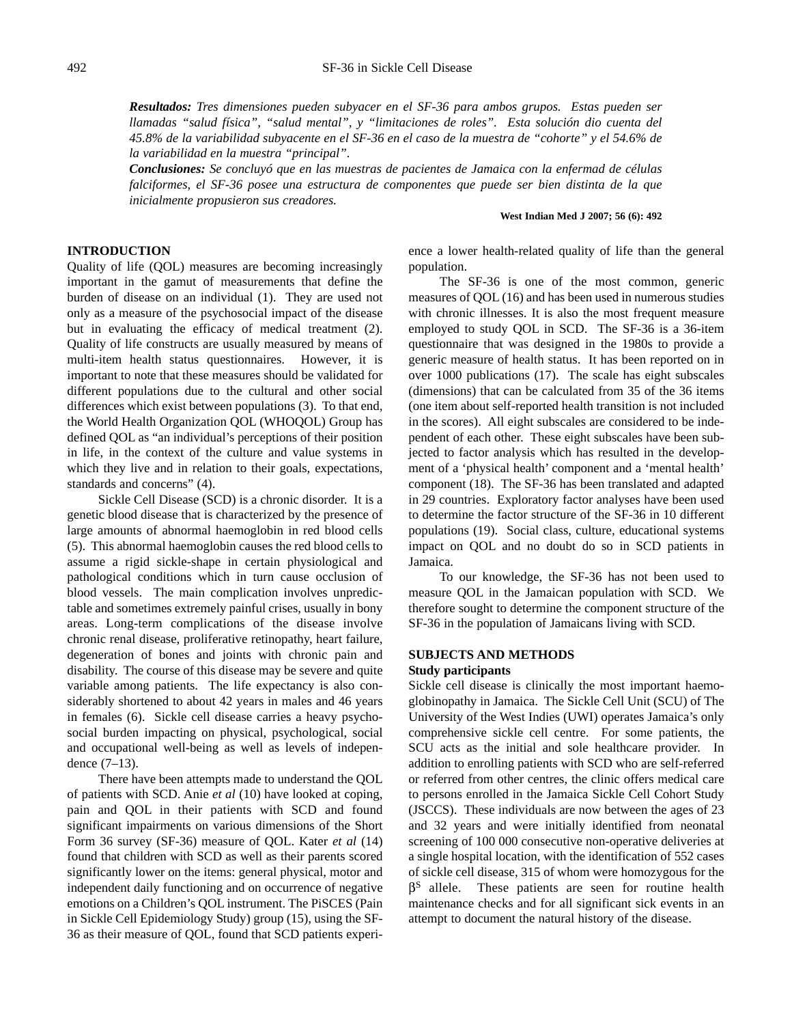*Resultados: Tres dimensiones pueden subyacer en el SF-36 para ambos grupos. Estas pueden ser llamadas "salud física", "salud mental", y "limitaciones de roles". Esta solución dio cuenta del 45.8% de la variabilidad subyacente en el SF-36 en el caso de la muestra de "cohorte" y el 54.6% de la variabilidad en la muestra "principal".*

*Conclusiones: Se concluyó que en las muestras de pacientes de Jamaica con la enfermad de células falciformes, el SF-36 posee una estructura de componentes que puede ser bien distinta de la que inicialmente propusieron sus creadores.* 

#### **West Indian Med J 2007; 56 (6): 492**

## **INTRODUCTION**

Quality of life (QOL) measures are becoming increasingly important in the gamut of measurements that define the burden of disease on an individual (1). They are used not only as a measure of the psychosocial impact of the disease but in evaluating the efficacy of medical treatment (2). Quality of life constructs are usually measured by means of multi-item health status questionnaires. However, it is important to note that these measures should be validated for different populations due to the cultural and other social differences which exist between populations (3). To that end, the World Health Organization QOL (WHOQOL) Group has defined QOL as "an individual's perceptions of their position in life, in the context of the culture and value systems in which they live and in relation to their goals, expectations, standards and concerns" (4).

Sickle Cell Disease (SCD) is a chronic disorder. It is a genetic blood disease that is characterized by the presence of large amounts of abnormal haemoglobin in red blood cells (5). This abnormal haemoglobin causes the red blood cells to assume a rigid sickle-shape in certain physiological and pathological conditions which in turn cause occlusion of blood vessels. The main complication involves unpredictable and sometimes extremely painful crises, usually in bony areas. Long-term complications of the disease involve chronic renal disease, proliferative retinopathy, heart failure, degeneration of bones and joints with chronic pain and disability. The course of this disease may be severe and quite variable among patients. The life expectancy is also considerably shortened to about 42 years in males and 46 years in females (6). Sickle cell disease carries a heavy psychosocial burden impacting on physical, psychological, social and occupational well-being as well as levels of independence (7–13).

There have been attempts made to understand the QOL of patients with SCD. Anie *et al* (10) have looked at coping, pain and QOL in their patients with SCD and found significant impairments on various dimensions of the Short Form 36 survey (SF-36) measure of QOL. Kater *et al* (14) found that children with SCD as well as their parents scored significantly lower on the items: general physical, motor and independent daily functioning and on occurrence of negative emotions on a Children's QOL instrument. The PiSCES (Pain in Sickle Cell Epidemiology Study) group (15), using the SF-36 as their measure of QOL, found that SCD patients experience a lower health-related quality of life than the general population.

The SF-36 is one of the most common, generic measures of QOL (16) and has been used in numerous studies with chronic illnesses. It is also the most frequent measure employed to study QOL in SCD. The SF-36 is a 36-item questionnaire that was designed in the 1980s to provide a generic measure of health status. It has been reported on in over 1000 publications (17). The scale has eight subscales (dimensions) that can be calculated from 35 of the 36 items (one item about self-reported health transition is not included in the scores). All eight subscales are considered to be independent of each other. These eight subscales have been subjected to factor analysis which has resulted in the development of a 'physical health' component and a 'mental health' component (18). The SF-36 has been translated and adapted in 29 countries. Exploratory factor analyses have been used to determine the factor structure of the SF-36 in 10 different populations (19). Social class, culture, educational systems impact on QOL and no doubt do so in SCD patients in Jamaica.

To our knowledge, the SF-36 has not been used to measure QOL in the Jamaican population with SCD. We therefore sought to determine the component structure of the SF-36 in the population of Jamaicans living with SCD.

## **SUBJECTS AND METHODS**

#### **Study participants**

Sickle cell disease is clinically the most important haemoglobinopathy in Jamaica. The Sickle Cell Unit (SCU) of The University of the West Indies (UWI) operates Jamaica's only comprehensive sickle cell centre. For some patients, the SCU acts as the initial and sole healthcare provider. In addition to enrolling patients with SCD who are self-referred or referred from other centres, the clinic offers medical care to persons enrolled in the Jamaica Sickle Cell Cohort Study (JSCCS). These individuals are now between the ages of 23 and 32 years and were initially identified from neonatal screening of 100 000 consecutive non-operative deliveries at a single hospital location, with the identification of 552 cases of sickle cell disease, 315 of whom were homozygous for the  $\beta$ <sup>S</sup> allele. These patients are seen for routine health maintenance checks and for all significant sick events in an attempt to document the natural history of the disease.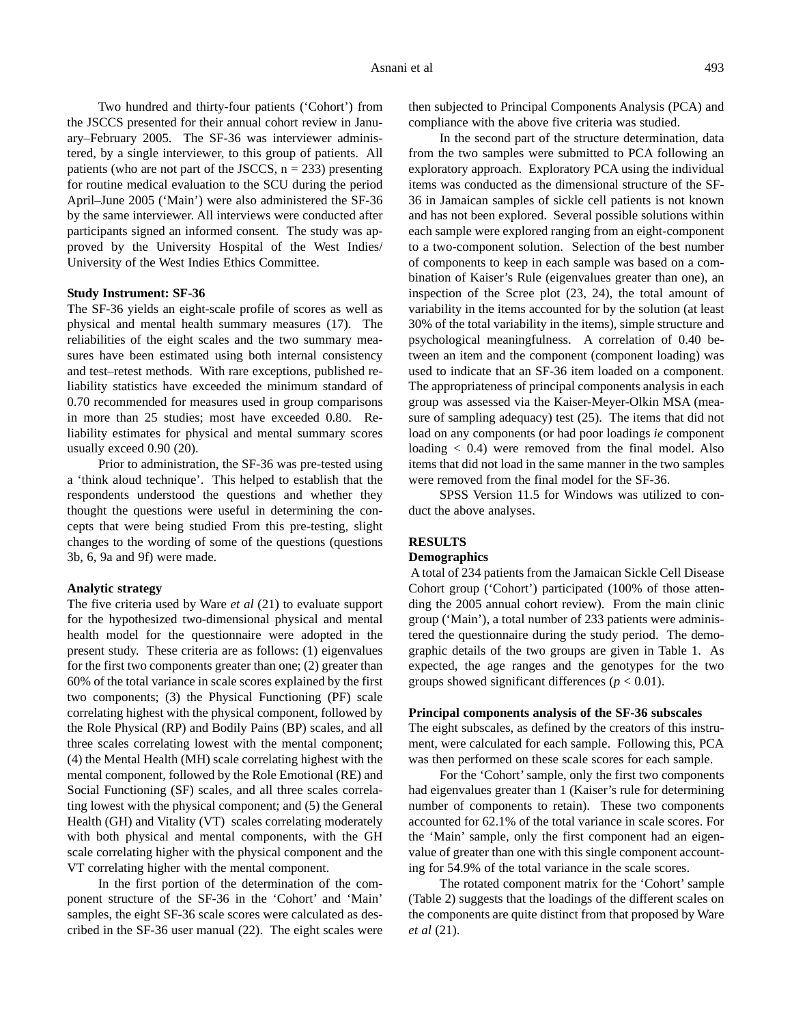Two hundred and thirty-four patients ('Cohort') from the JSCCS presented for their annual cohort review in January–February 2005. The SF-36 was interviewer administered, by a single interviewer, to this group of patients. All patients (who are not part of the JSCCS,  $n = 233$ ) presenting for routine medical evaluation to the SCU during the period April–June 2005 ('Main') were also administered the SF-36 by the same interviewer. All interviews were conducted after participants signed an informed consent. The study was approved by the University Hospital of the West Indies/ University of the West Indies Ethics Committee.

#### **Study Instrument: SF-36**

The SF-36 yields an eight-scale profile of scores as well as physical and mental health summary measures (17). The reliabilities of the eight scales and the two summary measures have been estimated using both internal consistency and test–retest methods. With rare exceptions, published reliability statistics have exceeded the minimum standard of 0.70 recommended for measures used in group comparisons in more than 25 studies; most have exceeded 0.80. Reliability estimates for physical and mental summary scores usually exceed 0.90 (20).

Prior to administration, the SF-36 was pre-tested using a 'think aloud technique'. This helped to establish that the respondents understood the questions and whether they thought the questions were useful in determining the concepts that were being studied From this pre-testing, slight changes to the wording of some of the questions (questions 3b, 6, 9a and 9f) were made.

#### **Analytic strategy**

The five criteria used by Ware *et al* (21) to evaluate support for the hypothesized two-dimensional physical and mental health model for the questionnaire were adopted in the present study. These criteria are as follows: (1) eigenvalues for the first two components greater than one; (2) greater than 60% of the total variance in scale scores explained by the first two components; (3) the Physical Functioning (PF) scale correlating highest with the physical component, followed by the Role Physical (RP) and Bodily Pains (BP) scales, and all three scales correlating lowest with the mental component; (4) the Mental Health (MH) scale correlating highest with the mental component, followed by the Role Emotional (RE) and Social Functioning (SF) scales, and all three scales correlating lowest with the physical component; and (5) the General Health (GH) and Vitality (VT) scales correlating moderately with both physical and mental components, with the GH scale correlating higher with the physical component and the VT correlating higher with the mental component.

In the first portion of the determination of the component structure of the SF-36 in the 'Cohort' and 'Main' samples, the eight SF-36 scale scores were calculated as described in the SF-36 user manual (22). The eight scales were then subjected to Principal Components Analysis (PCA) and compliance with the above five criteria was studied.

In the second part of the structure determination, data from the two samples were submitted to PCA following an exploratory approach. Exploratory PCA using the individual items was conducted as the dimensional structure of the SF-36 in Jamaican samples of sickle cell patients is not known and has not been explored. Several possible solutions within each sample were explored ranging from an eight-component to a two-component solution. Selection of the best number of components to keep in each sample was based on a combination of Kaiser's Rule (eigenvalues greater than one), an inspection of the Scree plot (23, 24), the total amount of variability in the items accounted for by the solution (at least 30% of the total variability in the items), simple structure and psychological meaningfulness. A correlation of 0.40 between an item and the component (component loading) was used to indicate that an SF-36 item loaded on a component. The appropriateness of principal components analysis in each group was assessed via the Kaiser-Meyer-Olkin MSA (measure of sampling adequacy) test (25). The items that did not load on any components (or had poor loadings *ie* component loading < 0.4) were removed from the final model. Also items that did not load in the same manner in the two samples were removed from the final model for the SF-36.

SPSS Version 11.5 for Windows was utilized to conduct the above analyses.

#### **RESULTS**

#### **Demographics**

A total of 234 patients from the Jamaican Sickle Cell Disease Cohort group ('Cohort') participated (100% of those attending the 2005 annual cohort review). From the main clinic group ('Main'), a total number of 233 patients were administered the questionnaire during the study period. The demographic details of the two groups are given in Table 1. As expected, the age ranges and the genotypes for the two groups showed significant differences  $(p < 0.01)$ .

#### **Principal components analysis of the SF-36 subscales**

The eight subscales, as defined by the creators of this instrument, were calculated for each sample. Following this, PCA was then performed on these scale scores for each sample.

For the 'Cohort' sample, only the first two components had eigenvalues greater than 1 (Kaiser's rule for determining number of components to retain). These two components accounted for 62.1% of the total variance in scale scores. For the 'Main' sample, only the first component had an eigenvalue of greater than one with this single component accounting for 54.9% of the total variance in the scale scores.

The rotated component matrix for the 'Cohort' sample (Table 2) suggests that the loadings of the different scales on the components are quite distinct from that proposed by Ware *et al* (21).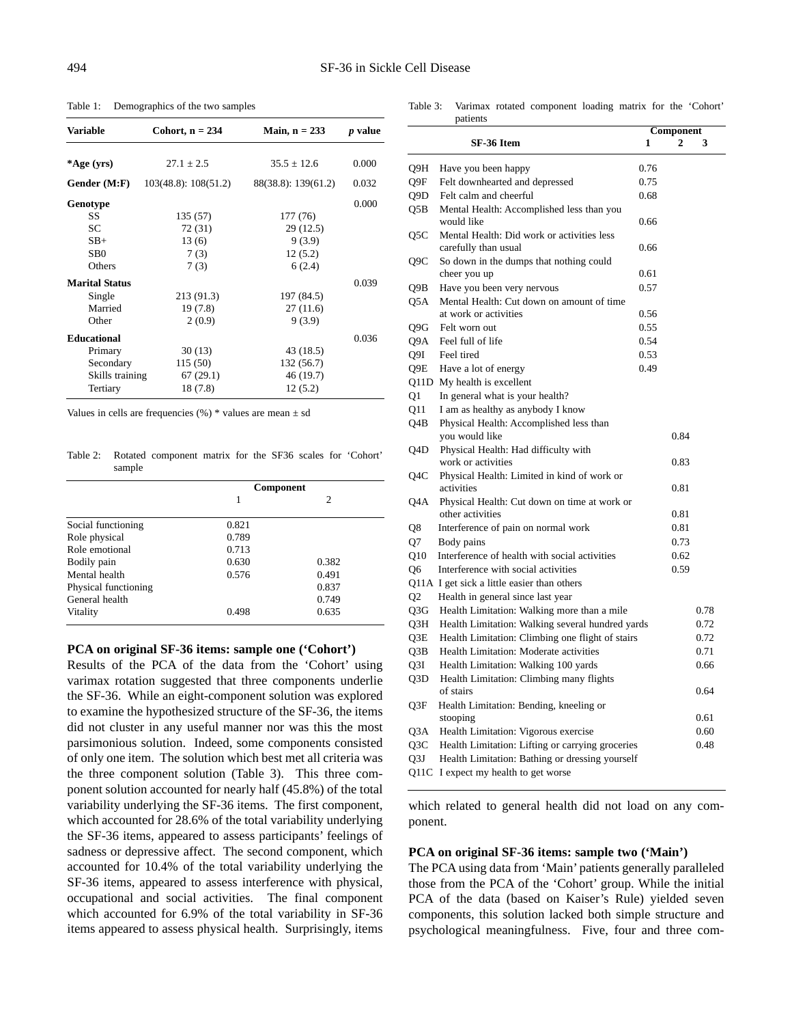Table 1: Demographics of the two samples

| <b>Variable</b>       | Cohort, $n = 234$    | Main, $n = 233$     | <i>p</i> value |
|-----------------------|----------------------|---------------------|----------------|
|                       |                      |                     |                |
| *Age (yrs)            | $27.1 \pm 2.5$       | $35.5 \pm 12.6$     | 0.000          |
| Gender (M:F)          | 103(48.8): 108(51.2) | 88(38.8): 139(61.2) | 0.032          |
| Genotype              |                      |                     | 0.000          |
| SS.                   | 135 (57)             | 177 (76)            |                |
| SC.                   | 72 (31)              | 29(12.5)            |                |
| $SB+$                 | 13(6)                | 9(3.9)              |                |
| S <sub>B</sub> 0      | 7(3)                 | 12(5.2)             |                |
| Others                | 7(3)                 | 6(2.4)              |                |
| <b>Marital Status</b> |                      |                     | 0.039          |
| Single                | 213 (91.3)           | 197 (84.5)          |                |
| Married               | 19 (7.8)             | 27(11.6)            |                |
| Other                 | 2(0.9)               | 9(3.9)              |                |
| <b>Educational</b>    |                      |                     | 0.036          |
| Primary               | 30(13)               | 43 (18.5)           |                |
| Secondary             | 115 (50)             | 132 (56.7)          |                |
| Skills training       | 67(29.1)             | 46 (19.7)           |                |
| Tertiary              | 18(7.8)              | 12(5.2)             |                |

Values in cells are frequencies  $(\%)$  \* values are mean  $\pm$  sd

Table 2: Rotated component matrix for the SF36 scales for 'Cohort' sample

|                      | Component |       |  |
|----------------------|-----------|-------|--|
|                      |           | 2     |  |
| Social functioning   | 0.821     |       |  |
| Role physical        | 0.789     |       |  |
| Role emotional       | 0.713     |       |  |
| Bodily pain          | 0.630     | 0.382 |  |
| Mental health        | 0.576     | 0.491 |  |
| Physical functioning |           | 0.837 |  |
| General health       |           | 0.749 |  |
| Vitality             | 0.498     | 0.635 |  |

#### **PCA on original SF-36 items: sample one ('Cohort')**

Results of the PCA of the data from the 'Cohort' using varimax rotation suggested that three components underlie the SF-36. While an eight-component solution was explored to examine the hypothesized structure of the SF-36, the items did not cluster in any useful manner nor was this the most parsimonious solution. Indeed, some components consisted of only one item. The solution which best met all criteria was the three component solution (Table 3). This three component solution accounted for nearly half (45.8%) of the total variability underlying the SF-36 items. The first component, which accounted for 28.6% of the total variability underlying the SF-36 items, appeared to assess participants' feelings of sadness or depressive affect. The second component, which accounted for 10.4% of the total variability underlying the SF-36 items, appeared to assess interference with physical, occupational and social activities. The final component which accounted for 6.9% of the total variability in SF-36 items appeared to assess physical health. Surprisingly, items

Table 3: Varimax rotated component loading matrix for the 'Cohort' patients

|                 |                                                  |      | Component |      |  |
|-----------------|--------------------------------------------------|------|-----------|------|--|
|                 | SF-36 Item                                       | 1    | 2         | 3    |  |
| Q9H             | Have you been happy                              | 0.76 |           |      |  |
| Q9F             | Felt downhearted and depressed                   | 0.75 |           |      |  |
| Q9D             | Felt calm and cheerful                           | 0.68 |           |      |  |
| Q5B             | Mental Health: Accomplished less than you        |      |           |      |  |
|                 | would like                                       | 0.66 |           |      |  |
| Q5C             | Mental Health: Did work or activities less       |      |           |      |  |
|                 | carefully than usual                             | 0.66 |           |      |  |
| Q9C             | So down in the dumps that nothing could          |      |           |      |  |
|                 | cheer you up                                     | 0.61 |           |      |  |
| Q9B             | Have you been very nervous                       | 0.57 |           |      |  |
| Q5A             | Mental Health: Cut down on amount of time        |      |           |      |  |
|                 | at work or activities                            | 0.56 |           |      |  |
| Q9G             | Felt worn out                                    | 0.55 |           |      |  |
| Q9A             | Feel full of life                                | 0.54 |           |      |  |
| O9I             | Feel tired                                       | 0.53 |           |      |  |
| O9E             | Have a lot of energy                             | 0.49 |           |      |  |
|                 | Q11D My health is excellent                      |      |           |      |  |
| Q1              | In general what is your health?                  |      |           |      |  |
| 011             | I am as healthy as anybody I know                |      |           |      |  |
| Q4B             | Physical Health: Accomplished less than          |      |           |      |  |
|                 | you would like                                   |      | 0.84      |      |  |
| Q4D             | Physical Health: Had difficulty with             |      |           |      |  |
|                 | work or activities                               |      | 0.83      |      |  |
| Q4C             | Physical Health: Limited in kind of work or      |      |           |      |  |
|                 | activities                                       |      | 0.81      |      |  |
| Q4A             | Physical Health: Cut down on time at work or     |      |           |      |  |
|                 | other activities                                 |      | 0.81      |      |  |
| Q8              | Interference of pain on normal work              |      | 0.81      |      |  |
| 07              | Body pains                                       |      | 0.73      |      |  |
| O <sub>10</sub> | Interference of health with social activities    |      | 0.62      |      |  |
| O6              | Interference with social activities              |      | 0.59      |      |  |
|                 | Q11A I get sick a little easier than others      |      |           |      |  |
| Q <sub>2</sub>  | Health in general since last year                |      |           |      |  |
| Q3G             | Health Limitation: Walking more than a mile      |      |           | 0.78 |  |
| Q3H             | Health Limitation: Walking several hundred yards |      |           | 0.72 |  |
| Q3E             | Health Limitation: Climbing one flight of stairs |      |           | 0.72 |  |
| Q3B             | Health Limitation: Moderate activities           |      |           | 0.71 |  |
| Q3I             | Health Limitation: Walking 100 yards             |      |           | 0.66 |  |
| Q3D             | Health Limitation: Climbing many flights         |      |           |      |  |
|                 | of stairs                                        |      |           | 0.64 |  |
| Q3F             | Health Limitation: Bending, kneeling or          |      |           |      |  |
|                 | stooping                                         |      |           | 0.61 |  |
| Q3A             | Health Limitation: Vigorous exercise             |      |           | 0.60 |  |
| Q3C             | Health Limitation: Lifting or carrying groceries |      |           | 0.48 |  |
| Q3J             | Health Limitation: Bathing or dressing yourself  |      |           |      |  |
| Q11C            | I expect my health to get worse                  |      |           |      |  |

which related to general health did not load on any component.

#### **PCA on original SF-36 items: sample two ('Main')**

The PCA using data from 'Main' patients generally paralleled those from the PCA of the 'Cohort' group. While the initial PCA of the data (based on Kaiser's Rule) yielded seven components, this solution lacked both simple structure and psychological meaningfulness. Five, four and three com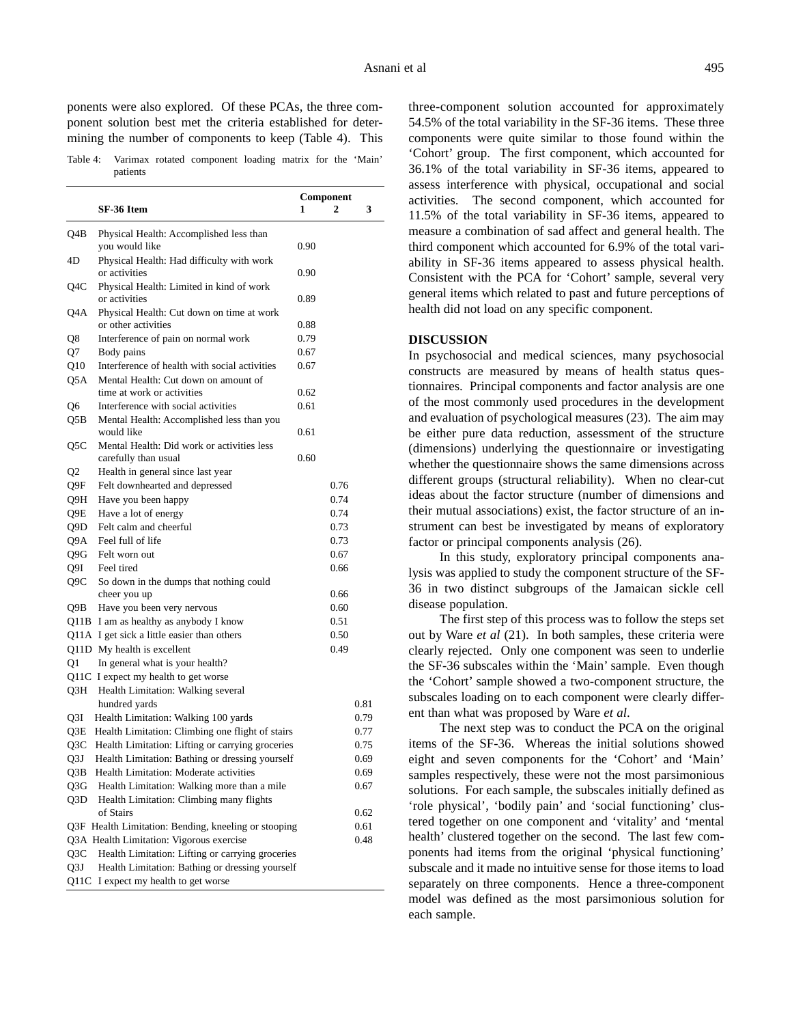ponents were also explored. Of these PCAs, the three component solution best met the criteria established for determining the number of components to keep (Table 4). This

Table 4: Varimax rotated component loading matrix for the 'Main' patients

|            | SF-36 Item                                                                                | Component<br>1 | 2    | 3            |
|------------|-------------------------------------------------------------------------------------------|----------------|------|--------------|
| Q4B        | Physical Health: Accomplished less than<br>you would like                                 | 0.90           |      |              |
| 4D         | Physical Health: Had difficulty with work<br>or activities                                | 0.90           |      |              |
| Q4C        | Physical Health: Limited in kind of work<br>or activities                                 | 0.89           |      |              |
| Q4A        | Physical Health: Cut down on time at work<br>or other activities                          | 0.88           |      |              |
| Q8         | Interference of pain on normal work                                                       | 0.79           |      |              |
| Q7         | Body pains                                                                                | 0.67           |      |              |
| Q10<br>Q5A | Interference of health with social activities<br>Mental Health: Cut down on amount of     | 0.67           |      |              |
|            | time at work or activities                                                                | 0.62           |      |              |
| Q6         | Interference with social activities                                                       | 0.61           |      |              |
| Q5B        | Mental Health: Accomplished less than you<br>would like                                   | 0.61           |      |              |
| Q5C        | Mental Health: Did work or activities less<br>carefully than usual                        | 0.60           |      |              |
| Q2         | Health in general since last year                                                         |                |      |              |
| Q9F        | Felt downhearted and depressed                                                            |                | 0.76 |              |
| Q9H        | Have you been happy                                                                       |                | 0.74 |              |
| Q9E        | Have a lot of energy                                                                      |                | 0.74 |              |
| Q9D        | Felt calm and cheerful                                                                    |                | 0.73 |              |
| Q9A        | Feel full of life                                                                         |                | 0.73 |              |
| Q9G        | Felt worn out                                                                             |                | 0.67 |              |
| Q9I        | Feel tired                                                                                |                | 0.66 |              |
| Q9C        | So down in the dumps that nothing could                                                   |                |      |              |
|            | cheer you up                                                                              |                | 0.66 |              |
| Q9B        | Have you been very nervous                                                                |                | 0.60 |              |
|            | Q11B I am as healthy as anybody I know                                                    |                | 0.51 |              |
|            | Q11A I get sick a little easier than others                                               |                | 0.50 |              |
| Q1         | Q11D My health is excellent<br>In general what is your health?                            |                | 0.49 |              |
|            | Q11C I expect my health to get worse                                                      |                |      |              |
| O3H        | Health Limitation: Walking several                                                        |                |      |              |
|            | hundred yards                                                                             |                |      | 0.81         |
| Q3I        | Health Limitation: Walking 100 yards                                                      |                |      | 0.79         |
| Q3E        | Health Limitation: Climbing one flight of stairs                                          |                |      | 0.77         |
| Q3C        | Health Limitation: Lifting or carrying groceries                                          |                |      | 0.75         |
| Q3J<br>Q3B | Health Limitation: Bathing or dressing yourself<br>Health Limitation: Moderate activities |                |      | 0.69         |
| Q3G        | Health Limitation: Walking more than a mile                                               |                |      | 0.69<br>0.67 |
| Q3D        | Health Limitation: Climbing many flights                                                  |                |      |              |
|            | of Stairs                                                                                 |                |      | 0.62         |
|            | Q3F Health Limitation: Bending, kneeling or stooping                                      |                |      | 0.61         |
|            | Q3A Health Limitation: Vigorous exercise                                                  |                |      | 0.48         |
| Q3C        | Health Limitation: Lifting or carrying groceries                                          |                |      |              |
| Q3J        | Health Limitation: Bathing or dressing yourself                                           |                |      |              |
| Q11C       | I expect my health to get worse                                                           |                |      |              |
|            |                                                                                           |                |      |              |

three-component solution accounted for approximately 54.5% of the total variability in the SF-36 items. These three components were quite similar to those found within the 'Cohort' group. The first component, which accounted for 36.1% of the total variability in SF-36 items, appeared to assess interference with physical, occupational and social activities. The second component, which accounted for 11.5% of the total variability in SF-36 items, appeared to measure a combination of sad affect and general health. The third component which accounted for 6.9% of the total variability in SF-36 items appeared to assess physical health. Consistent with the PCA for 'Cohort' sample, several very general items which related to past and future perceptions of health did not load on any specific component.

#### **DISCUSSION**

In psychosocial and medical sciences, many psychosocial constructs are measured by means of health status questionnaires. Principal components and factor analysis are one of the most commonly used procedures in the development and evaluation of psychological measures (23). The aim may be either pure data reduction, assessment of the structure (dimensions) underlying the questionnaire or investigating whether the questionnaire shows the same dimensions across different groups (structural reliability). When no clear-cut ideas about the factor structure (number of dimensions and their mutual associations) exist, the factor structure of an instrument can best be investigated by means of exploratory factor or principal components analysis (26).

In this study, exploratory principal components analysis was applied to study the component structure of the SF-36 in two distinct subgroups of the Jamaican sickle cell disease population.

The first step of this process was to follow the steps set out by Ware *et al* (21). In both samples, these criteria were clearly rejected. Only one component was seen to underlie the SF-36 subscales within the 'Main' sample. Even though the 'Cohort' sample showed a two-component structure, the subscales loading on to each component were clearly different than what was proposed by Ware *et al*.

The next step was to conduct the PCA on the original items of the SF-36. Whereas the initial solutions showed eight and seven components for the 'Cohort' and 'Main' samples respectively, these were not the most parsimonious solutions. For each sample, the subscales initially defined as 'role physical', 'bodily pain' and 'social functioning' clustered together on one component and 'vitality' and 'mental health' clustered together on the second. The last few components had items from the original 'physical functioning' subscale and it made no intuitive sense for those items to load separately on three components. Hence a three-component model was defined as the most parsimonious solution for each sample.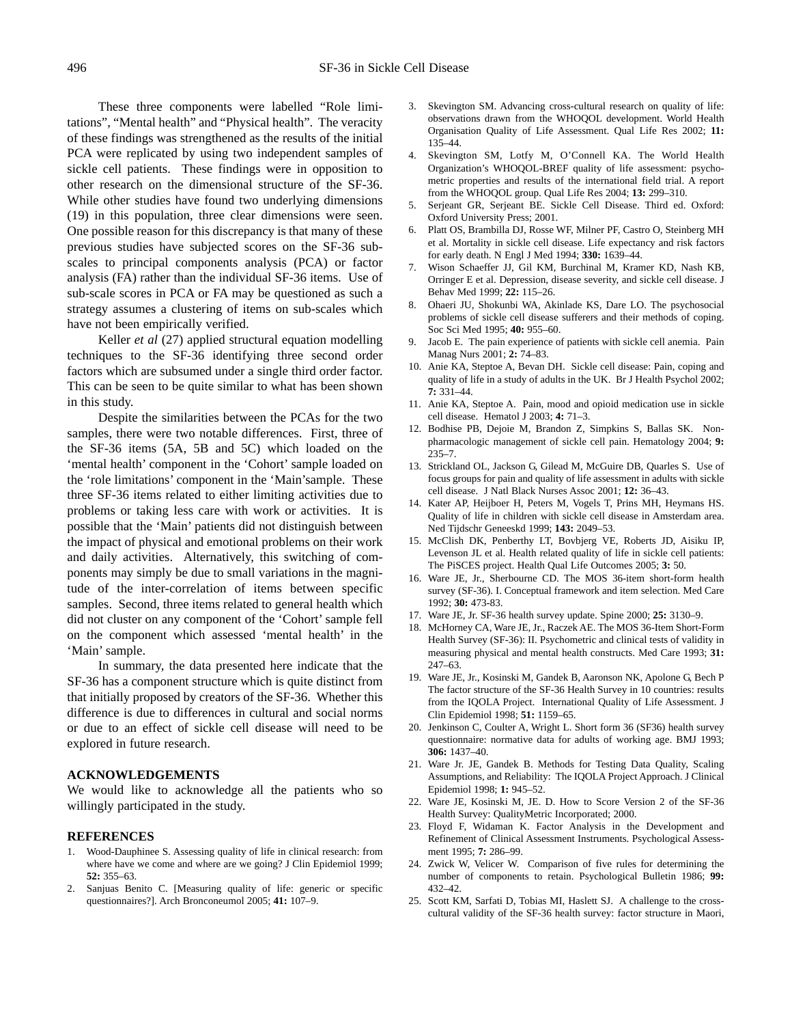These three components were labelled "Role limitations", "Mental health" and "Physical health". The veracity of these findings was strengthened as the results of the initial PCA were replicated by using two independent samples of sickle cell patients. These findings were in opposition to other research on the dimensional structure of the SF-36. While other studies have found two underlying dimensions (19) in this population, three clear dimensions were seen. One possible reason for this discrepancy is that many of these previous studies have subjected scores on the SF-36 subscales to principal components analysis (PCA) or factor analysis (FA) rather than the individual SF-36 items. Use of sub-scale scores in PCA or FA may be questioned as such a strategy assumes a clustering of items on sub-scales which have not been empirically verified.

Keller *et al* (27) applied structural equation modelling techniques to the SF-36 identifying three second order factors which are subsumed under a single third order factor. This can be seen to be quite similar to what has been shown in this study.

Despite the similarities between the PCAs for the two samples, there were two notable differences. First, three of the SF-36 items (5A, 5B and 5C) which loaded on the 'mental health' component in the 'Cohort' sample loaded on the 'role limitations' component in the 'Main'sample. These three SF-36 items related to either limiting activities due to problems or taking less care with work or activities. It is possible that the 'Main' patients did not distinguish between the impact of physical and emotional problems on their work and daily activities. Alternatively, this switching of components may simply be due to small variations in the magnitude of the inter-correlation of items between specific samples. Second, three items related to general health which did not cluster on any component of the 'Cohort' sample fell on the component which assessed 'mental health' in the 'Main' sample.

In summary, the data presented here indicate that the SF-36 has a component structure which is quite distinct from that initially proposed by creators of the SF-36. Whether this difference is due to differences in cultural and social norms or due to an effect of sickle cell disease will need to be explored in future research.

#### **ACKNOWLEDGEMENTS**

We would like to acknowledge all the patients who so willingly participated in the study.

#### **REFERENCES**

- 1. Wood-Dauphinee S. Assessing quality of life in clinical research: from where have we come and where are we going? J Clin Epidemiol 1999; **52:** 355–63.
- 2. Sanjuas Benito C. [Measuring quality of life: generic or specific questionnaires?]. Arch Bronconeumol 2005; **41:** 107–9.
- 3. Skevington SM. Advancing cross-cultural research on quality of life: observations drawn from the WHOQOL development. World Health Organisation Quality of Life Assessment. Qual Life Res 2002; **11:** 135–44.
- 4. Skevington SM, Lotfy M, O'Connell KA. The World Health Organization's WHOQOL-BREF quality of life assessment: psychometric properties and results of the international field trial. A report from the WHOQOL group. Qual Life Res 2004; **13:** 299–310.
- 5. Serjeant GR, Serjeant BE. Sickle Cell Disease. Third ed. Oxford: Oxford University Press; 2001.
- 6. Platt OS, Brambilla DJ, Rosse WF, Milner PF, Castro O, Steinberg MH et al. Mortality in sickle cell disease. Life expectancy and risk factors for early death. N Engl J Med 1994; **330:** 1639–44.
- 7. Wison Schaeffer JJ, Gil KM, Burchinal M, Kramer KD, Nash KB, Orringer E et al. Depression, disease severity, and sickle cell disease. J Behav Med 1999; **22:** 115–26.
- 8. Ohaeri JU, Shokunbi WA, Akinlade KS, Dare LO. The psychosocial problems of sickle cell disease sufferers and their methods of coping. Soc Sci Med 1995; **40:** 955–60.
- 9. Jacob E. The pain experience of patients with sickle cell anemia. Pain Manag Nurs 2001; **2:** 74–83.
- 10. Anie KA, Steptoe A, Bevan DH. Sickle cell disease: Pain, coping and quality of life in a study of adults in the UK. Br J Health Psychol 2002; **7:** 331–44.
- 11. Anie KA, Steptoe A. Pain, mood and opioid medication use in sickle cell disease. Hematol J 2003; **4:** 71–3.
- 12. Bodhise PB, Dejoie M, Brandon Z, Simpkins S, Ballas SK. Nonpharmacologic management of sickle cell pain. Hematology 2004; **9:** 235–7.
- 13. Strickland OL, Jackson G, Gilead M, McGuire DB, Quarles S. Use of focus groups for pain and quality of life assessment in adults with sickle cell disease. J Natl Black Nurses Assoc 2001; **12:** 36–43.
- 14. Kater AP, Heijboer H, Peters M, Vogels T, Prins MH, Heymans HS. Quality of life in children with sickle cell disease in Amsterdam area. Ned Tijdschr Geneeskd 1999; **143:** 2049–53.
- 15. McClish DK, Penberthy LT, Bovbjerg VE, Roberts JD, Aisiku IP, Levenson JL et al. Health related quality of life in sickle cell patients: The PiSCES project. Health Qual Life Outcomes 2005; **3:** 50.
- 16. Ware JE, Jr., Sherbourne CD. The MOS 36-item short-form health survey (SF-36). I. Conceptual framework and item selection. Med Care 1992; **30:** 473-83.
- 17. Ware JE, Jr. SF-36 health survey update. Spine 2000; **25:** 3130–9.
- 18. McHorney CA, Ware JE, Jr., Raczek AE. The MOS 36-Item Short-Form Health Survey (SF-36): II. Psychometric and clinical tests of validity in measuring physical and mental health constructs. Med Care 1993; **31:** 247–63.
- 19. Ware JE, Jr., Kosinski M, Gandek B, Aaronson NK, Apolone G, Bech P The factor structure of the SF-36 Health Survey in 10 countries: results from the IQOLA Project. International Quality of Life Assessment. J Clin Epidemiol 1998; **51:** 1159–65.
- 20. Jenkinson C, Coulter A, Wright L. Short form 36 (SF36) health survey questionnaire: normative data for adults of working age. BMJ 1993; **306:** 1437–40.
- 21. Ware Jr. JE, Gandek B. Methods for Testing Data Quality, Scaling Assumptions, and Reliability: The IQOLA Project Approach. J Clinical Epidemiol 1998; **1:** 945–52.
- 22. Ware JE, Kosinski M, JE. D. How to Score Version 2 of the SF-36 Health Survey: QualityMetric Incorporated; 2000.
- 23. Floyd F, Widaman K. Factor Analysis in the Development and Refinement of Clinical Assessment Instruments. Psychological Assessment 1995; **7:** 286–99.
- 24. Zwick W, Velicer W. Comparison of five rules for determining the number of components to retain. Psychological Bulletin 1986; **99:** 432–42.
- 25. Scott KM, Sarfati D, Tobias MI, Haslett SJ. A challenge to the crosscultural validity of the SF-36 health survey: factor structure in Maori,